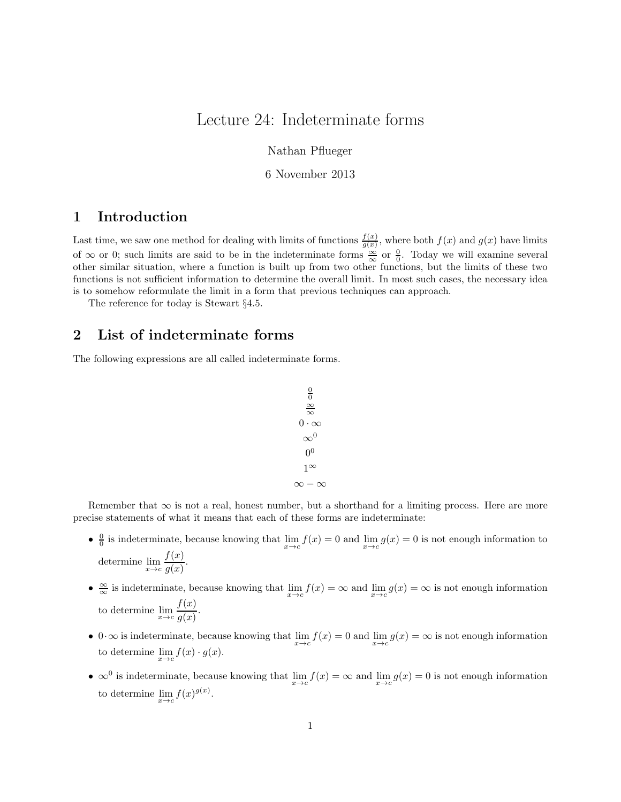## Lecture 24: Indeterminate forms

Nathan Pflueger

6 November 2013

#### 1 Introduction

Last time, we saw one method for dealing with limits of functions  $\frac{f(x)}{g(x)}$ , where both  $f(x)$  and  $g(x)$  have limits of  $\infty$  or 0; such limits are said to be in the indeterminate forms  $\frac{\infty}{\infty}$  or  $\frac{0}{0}$ . Today we will examine several other similar situation, where a function is built up from two other functions, but the limits of these two functions is not sufficient information to determine the overall limit. In most such cases, the necessary idea is to somehow reformulate the limit in a form that previous techniques can approach.

The reference for today is Stewart §4.5.

#### 2 List of indeterminate forms

The following expressions are all called indeterminate forms.

$$
\begin{array}{c}\n0 \\
\frac{\infty}{0} \\
0 \cdot \infty \\
\infty^0 \\
0 \\
1^{\infty} \\
\infty - \infty\n\end{array}
$$

Remember that  $\infty$  is not a real, honest number, but a shorthand for a limiting process. Here are more precise statements of what it means that each of these forms are indeterminate:

- $\frac{0}{0}$  is indeterminate, because knowing that  $\lim_{x\to c} f(x) = 0$  and  $\lim_{x\to c} g(x) = 0$  is not enough information to determine  $\lim_{x \to c} \frac{f(x)}{q(x)}$  $\frac{g(x)}{g(x)}$ .
- $\frac{\infty}{\infty}$  is indeterminate, because knowing that  $\lim_{x\to c} f(x) = \infty$  and  $\lim_{x\to c} g(x) = \infty$  is not enough information to determine  $\lim_{x \to c} \frac{f(x)}{q(x)}$  $\frac{f(x)}{g(x)}$ .
- 0 $\cdot \infty$  is indeterminate, because knowing that  $\lim_{x \to c} f(x) = 0$  and  $\lim_{x \to c} g(x) = \infty$  is not enough information to determine  $\lim_{x\to c} f(x) \cdot g(x)$ .
- $\infty$ <sup>0</sup> is indeterminate, because knowing that  $\lim_{x\to c} f(x) = \infty$  and  $\lim_{x\to c} g(x) = 0$  is not enough information to determine  $\lim_{x \to c} f(x)^{g(x)}$ .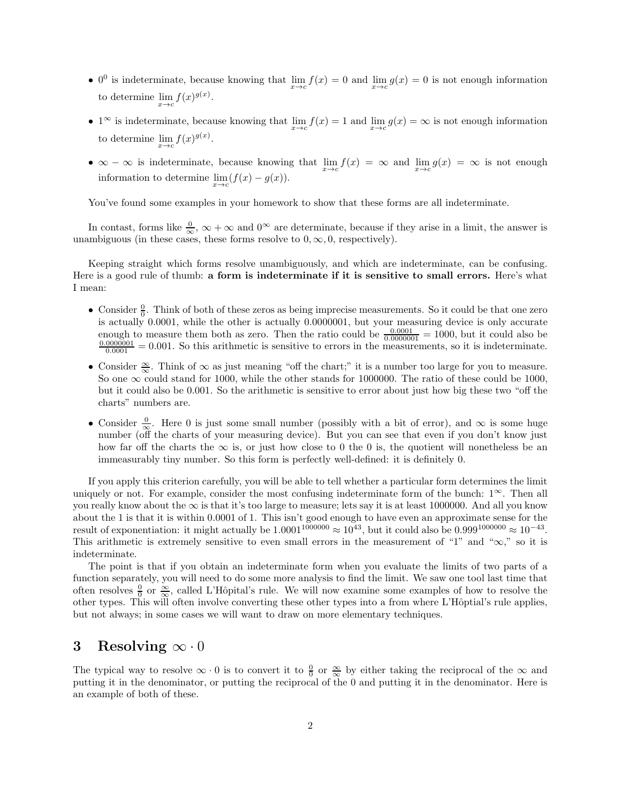- 0<sup>0</sup> is indeterminate, because knowing that  $\lim_{x\to c} f(x) = 0$  and  $\lim_{x\to c} g(x) = 0$  is not enough information to determine  $\lim_{x \to c} f(x)^{g(x)}$ .
- 1<sup>∞</sup> is indeterminate, because knowing that  $\lim_{x\to c} f(x) = 1$  and  $\lim_{x\to c} g(x) = \infty$  is not enough information to determine  $\lim_{x \to c} f(x)^{g(x)}$ .
- $\infty \infty$  is indeterminate, because knowing that  $\lim_{x \to c} f(x) = \infty$  and  $\lim_{x \to c} g(x) = \infty$  is not enough information to determine  $\lim_{x \to c} (f(x) - g(x)).$

You've found some examples in your homework to show that these forms are all indeterminate.

In contast, forms like  $\frac{0}{\infty}$ ,  $\infty + \infty$  and  $0^{\infty}$  are determinate, because if they arise in a limit, the answer is unambiguous (in these cases, these forms resolve to  $0, \infty, 0$ , respectively).

Keeping straight which forms resolve unambiguously, and which are indeterminate, can be confusing. Here is a good rule of thumb: a form is indeterminate if it is sensitive to small errors. Here's what I mean:

- Consider  $\frac{0}{0}$ . Think of both of these zeros as being imprecise measurements. So it could be that one zero is actually 0.0001, while the other is actually 0.0000001, but your measuring device is only accurate enough to measure them both as zero. Then the ratio could be  $\frac{0.0001}{0.0000001} = 1000$ , but it could also be  $\frac{0.0000001}{0.0001} = 0.001$ . So this arithmetic is sensitive to errors in the measurements, so it is indeterminate.
- Consider  $\frac{\infty}{\infty}$ . Think of  $\infty$  as just meaning "off the chart;" it is a number too large for you to measure. So one  $\infty$  could stand for 1000, while the other stands for 1000000. The ratio of these could be 1000, but it could also be 0.001. So the arithmetic is sensitive to error about just how big these two "off the charts" numbers are.
- Consider  $\frac{0}{\infty}$ . Here 0 is just some small number (possibly with a bit of error), and  $\infty$  is some huge number (off the charts of your measuring device). But you can see that even if you don't know just how far off the charts the  $\infty$  is, or just how close to 0 the 0 is, the quotient will nonetheless be an immeasurably tiny number. So this form is perfectly well-defined: it is definitely 0.

If you apply this criterion carefully, you will be able to tell whether a particular form determines the limit uniquely or not. For example, consider the most confusing indeterminate form of the bunch:  $1^{\infty}$ . Then all you really know about the  $\infty$  is that it's too large to measure; lets say it is at least 1000000. And all you know about the 1 is that it is within 0.0001 of 1. This isn't good enough to have even an approximate sense for the result of exponentiation: it might actually be  $1.0001^{1000000} \approx 10^{43}$ , but it could also be  $0.999^{1000000} \approx 10^{-43}$ . This arithmetic is extremely sensitive to even small errors in the measurement of "1" and " $\infty$ ," so it is indeterminate.

The point is that if you obtain an indeterminate form when you evaluate the limits of two parts of a function separately, you will need to do some more analysis to find the limit. We saw one tool last time that often resolves  $\frac{0}{0}$  or  $\frac{\infty}{\infty}$ , called L'Hôpital's rule. We will now examine some examples of how to resolve the other types. This will often involve converting these other types into a from where L'Hôptial's rule applies, but not always; in some cases we will want to draw on more elementary techniques.

#### 3 Resolving  $\infty \cdot 0$

The typical way to resolve  $\infty \cdot 0$  is to convert it to  $\frac{0}{0}$  or  $\frac{\infty}{\infty}$  by either taking the reciprocal of the  $\infty$  and putting it in the denominator, or putting the reciprocal of the 0 and putting it in the denominator. Here is an example of both of these.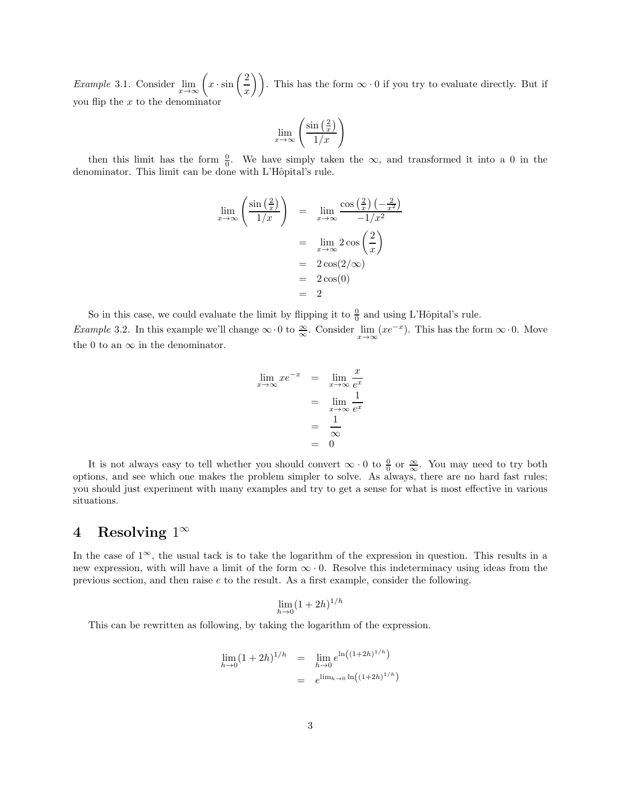*Example* 3.1. Consider  $\lim_{x \to \infty} \left( x \cdot \sin \left( \frac{2}{x} \right) \right)$  $\left(\frac{2}{x}\right)$ . This has the form  $\infty \cdot 0$  if you try to evaluate directly. But if you flip the  $x$  to the denominator

$$
\lim_{x \to \infty} \left( \frac{\sin\left(\frac{2}{x}\right)}{1/x} \right)
$$

then this limit has the form  $\frac{0}{0}$ . We have simply taken the  $\infty$ , and transformed it into a 0 in the denominator. This limit can be done with L'Hôpital's rule.

$$
\lim_{x \to \infty} \left( \frac{\sin\left(\frac{2}{x}\right)}{1/x} \right) = \lim_{x \to \infty} \frac{\cos\left(\frac{2}{x}\right)\left(-\frac{2}{x^2}\right)}{-1/x^2}
$$
\n
$$
= \lim_{x \to \infty} 2 \cos\left(\frac{2}{x}\right)
$$
\n
$$
= 2 \cos(2/\infty)
$$
\n
$$
= 2
$$
\n
$$
= 2
$$

So in this case, we could evaluate the limit by flipping it to  $\frac{0}{0}$  and using L'Hôpital's rule. Example 3.2. In this example we'll change  $\infty \cdot 0$  to  $\frac{\infty}{\infty}$ . Consider  $\lim_{x \to \infty} (xe^{-x})$ . This has the form  $\infty \cdot 0$ . Move the 0 to an  $\infty$  in the denominator.

$$
\lim_{x \to \infty} x e^{-x} = \lim_{x \to \infty} \frac{x}{e^x}
$$

$$
= \lim_{x \to \infty} \frac{1}{e^x}
$$

$$
= \frac{1}{\infty}
$$

$$
= 0
$$

It is not always easy to tell whether you should convert  $\infty \cdot 0$  to  $\frac{0}{0}$  or  $\frac{\infty}{\infty}$ . You may need to try both options, and see which one makes the problem simpler to solve. As always, there are no hard fast rules; you should just experiment with many examples and try to get a sense for what is most effective in various situations.

### $4$  Resolving  $1^\infty$

In the case of  $1^{\infty}$ , the usual tack is to take the logarithm of the expression in question. This results in a new expression, with will have a limit of the form  $\infty \cdot 0$ . Resolve this indeterminacy using ideas from the previous section, and then raise e to the result. As a first example, consider the following.

$$
\lim_{h \to 0} (1+2h)^{1/h}
$$

This can be rewritten as following, by taking the logarithm of the expression.

$$
\lim_{h \to 0} (1 + 2h)^{1/h} = \lim_{h \to 0} e^{\ln((1 + 2h)^{1/h})}
$$
  
=  $e^{\lim_{h \to 0} \ln((1 + 2h)^{1/h})}$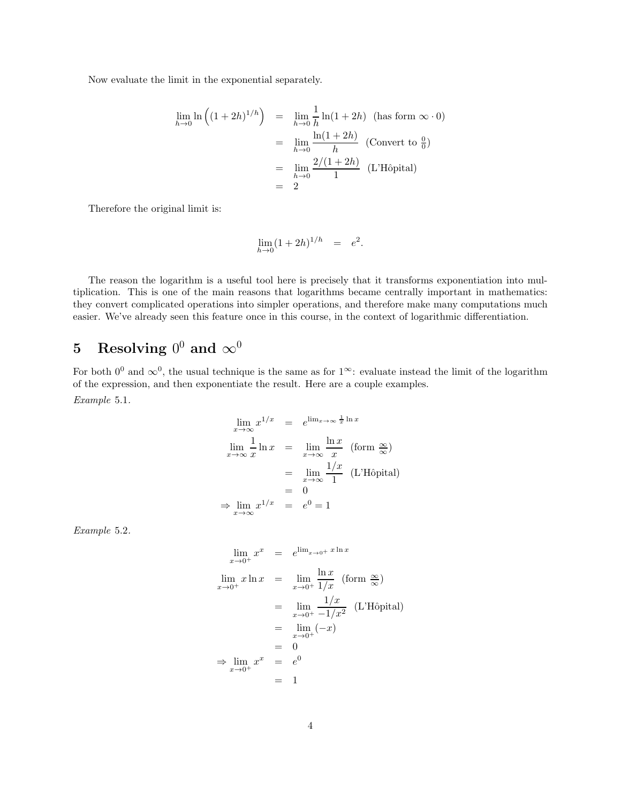Now evaluate the limit in the exponential separately.

$$
\lim_{h \to 0} \ln \left( (1 + 2h)^{1/h} \right) = \lim_{h \to 0} \frac{1}{h} \ln(1 + 2h) \quad \text{(has form } \infty \cdot 0)
$$
\n
$$
= \lim_{h \to 0} \frac{\ln(1 + 2h)}{h} \quad \text{(Convert to } \frac{0}{0})
$$
\n
$$
= \lim_{h \to 0} \frac{2/(1 + 2h)}{1} \quad \text{(L'Hôpital)}
$$
\n
$$
= 2
$$

Therefore the original limit is:

$$
\lim_{h \to 0} (1+2h)^{1/h} = e^2.
$$

The reason the logarithm is a useful tool here is precisely that it transforms exponentiation into multiplication. This is one of the main reasons that logarithms became centrally important in mathematics: they convert complicated operations into simpler operations, and therefore make many computations much easier. We've already seen this feature once in this course, in the context of logarithmic differentiation.

# 5 Resolving  $0^0$  and  $\infty^0$

For both  $0^0$  and  $\infty^0$ , the usual technique is the same as for  $1^{\infty}$ : evaluate instead the limit of the logarithm of the expression, and then exponentiate the result. Here are a couple examples. Example 5.1.

$$
\lim_{x \to \infty} x^{1/x} = e^{\lim_{x \to \infty} \frac{1}{x} \ln x}
$$
\n
$$
\lim_{x \to \infty} \frac{1}{x} \ln x = \lim_{x \to \infty} \frac{\ln x}{x} \text{ (form } \frac{\infty}{\infty})
$$
\n
$$
= \lim_{x \to \infty} \frac{1/x}{1} \text{ (L'Hôpital)}
$$
\n
$$
= 0
$$
\n
$$
\Rightarrow \lim_{x \to \infty} x^{1/x} = e^0 = 1
$$

Example 5.2.

$$
\lim_{x \to 0^{+}} x^{x} = e^{\lim_{x \to 0^{+}} x \ln x}
$$
\n
$$
\lim_{x \to 0^{+}} x \ln x = \lim_{x \to 0^{+}} \frac{\ln x}{1/x} \text{ (form } \frac{\infty}{\infty}\text{)}
$$
\n
$$
= \lim_{x \to 0^{+}} \frac{1/x}{-1/x^{2}} \text{ (L'Hôpital)}
$$
\n
$$
= \lim_{x \to 0^{+}} (-x)
$$
\n
$$
= 0
$$
\n
$$
\Rightarrow \lim_{x \to 0^{+}} x^{x} = e^{0}
$$
\n
$$
= 1
$$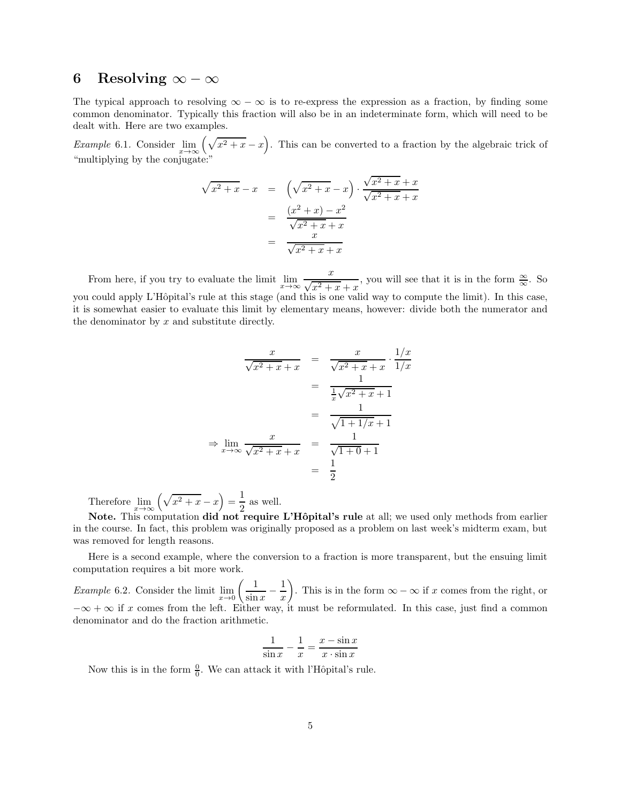#### 6 Resolving  $\infty - \infty$

The typical approach to resolving  $\infty - \infty$  is to re-express the expression as a fraction, by finding some common denominator. Typically this fraction will also be in an indeterminate form, which will need to be dealt with. Here are two examples.

Example 6.1. Consider  $\lim_{x\to\infty} (\sqrt{x^2 + x} - x)$ . This can be converted to a fraction by the algebraic trick of "multiplying by the conjugate:"

$$
\sqrt{x^2 + x} - x = \left(\sqrt{x^2 + x} - x\right) \cdot \frac{\sqrt{x^2 + x} + x}{\sqrt{x^2 + x} + x}
$$

$$
= \frac{\left(x^2 + x\right) - x^2}{\sqrt{x^2 + x} + x}
$$

$$
= \frac{x}{\sqrt{x^2 + x} + x}
$$

From here, if you try to evaluate the limit  $\lim_{x\to\infty} \frac{x}{\sqrt{x^2+1}}$  $\sqrt{x^2+x}+x$ , you will see that it is in the form  $\frac{\infty}{\infty}$ . So you could apply L'Hôpital's rule at this stage (and this is one valid way to compute the limit). In this case, it is somewhat easier to evaluate this limit by elementary means, however: divide both the numerator and the denominator by  $x$  and substitute directly.

$$
\frac{x}{\sqrt{x^2 + x} + x} = \frac{x}{\sqrt{x^2 + x} + x} \cdot \frac{1/x}{1/x}
$$

$$
= \frac{1}{\frac{1}{x}\sqrt{x^2 + x} + 1}
$$

$$
= \frac{1}{\sqrt{1 + 1/x} + 1}
$$

$$
\Rightarrow \lim_{x \to \infty} \frac{x}{\sqrt{x^2 + x} + x} = \frac{1}{\sqrt{1 + 0} + 1}
$$

$$
= \frac{1}{2}
$$

Therefore  $\lim_{x \to \infty} (\sqrt{x^2 + x} - x) = \frac{1}{2}$  $\frac{1}{2}$  as well.

Note. This computation did not require L'Hôpital's rule at all; we used only methods from earlier in the course. In fact, this problem was originally proposed as a problem on last week's midterm exam, but was removed for length reasons.

Here is a second example, where the conversion to a fraction is more transparent, but the ensuing limit computation requires a bit more work.

*Example* 6.2. Consider the limit  $\lim_{x\to 0} \left( \frac{1}{\sin x} \right)$  $\frac{1}{\sin x}$  – 1  $\boldsymbol{x}$ ). This is in the form  $\infty - \infty$  if x comes from the right, or  $-\infty + \infty$  if x comes from the left. Either way, it must be reformulated. In this case, just find a common denominator and do the fraction arithmetic.

$$
\frac{1}{\sin x} - \frac{1}{x} = \frac{x - \sin x}{x \cdot \sin x}
$$

Now this is in the form  $\frac{0}{0}$ . We can attack it with l'Hôpital's rule.